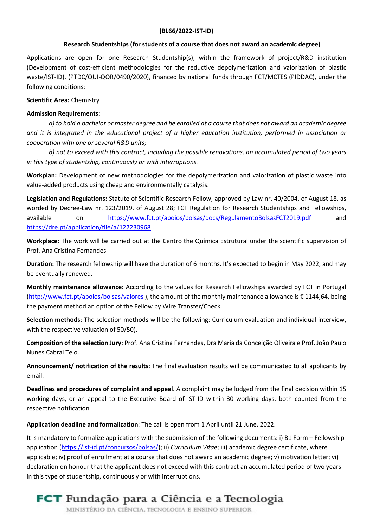## (BL66/2022-IST-ID)

### Research Studentships (for students of a course that does not award an academic degree)

Applications are open for one Research Studentship(s), within the framework of project/R&D institution (Development of cost-efficient methodologies for the reductive depolymerization and valorization of plastic waste/IST-ID), (PTDC/QUI-QOR/0490/2020), financed by national funds through FCT/MCTES (PIDDAC), under the following conditions:

#### Scientific Area: Chemistry

#### Admission Requirements:

 a) to hold a bachelor or master degree and be enrolled at a course that does not award an academic degree and it is integrated in the educational project of a higher education institution, performed in association or cooperation with one or several R&D units;

b) not to exceed with this contract, including the possible renovations, an accumulated period of two years in this type of studentship, continuously or with interruptions.

Workplan: Development of new methodologies for the depolymerization and valorization of plastic waste into value-added products using cheap and environmentally catalysis.

Legislation and Regulations: Statute of Scientific Research Fellow, approved by Law nr. 40/2004, of August 18, as worded by Decree-Law nr. 123/2019, of August 28; FCT Regulation for Research Studentships and Fellowships, available on https://www.fct.pt/apoios/bolsas/docs/RegulamentoBolsasFCT2019.pdf and https://dre.pt/application/file/a/127230968 .

Workplace: The work will be carried out at the Centro the Química Estrutural under the scientific supervision of Prof. Ana Cristina Fernandes

Duration: The research fellowship will have the duration of 6 months. It's expected to begin in May 2022, and may be eventually renewed.

Monthly maintenance allowance: According to the values for Research Fellowships awarded by FCT in Portugal (http://www.fct.pt/apoios/bolsas/valores ), the amount of the monthly maintenance allowance is € 1144,64, being the payment method an option of the Fellow by Wire Transfer/Check.

Selection methods: The selection methods will be the following: Curriculum evaluation and individual interview, with the respective valuation of 50/50).

Composition of the selection Jury: Prof. Ana Cristina Fernandes, Dra Maria da Conceição Oliveira e Prof. João Paulo Nunes Cabral Telo.

Announcement/ notification of the results: The final evaluation results will be communicated to all applicants by email.

Deadlines and procedures of complaint and appeal. A complaint may be lodged from the final decision within 15 working days, or an appeal to the Executive Board of IST-ID within 30 working days, both counted from the respective notification

Application deadline and formalization: The call is open from 1 April until 21 June, 2022.

It is mandatory to formalize applications with the submission of the following documents: i) B1 Form – Fellowship application (https://ist-id.pt/concursos/bolsas/); ii) Curriculum Vitae; iii) academic degree certificate, where applicable; iv) proof of enrollment at a course that does not award an academic degree; v) motivation letter; vi) declaration on honour that the applicant does not exceed with this contract an accumulated period of two years in this type of studentship, continuously or with interruptions.

# **FCT** Fundação para a Ciência e a Tecnologia

MINISTÉRIO DA CIÊNCIA, TECNOLOGIA E ENSINO SUPERIOR